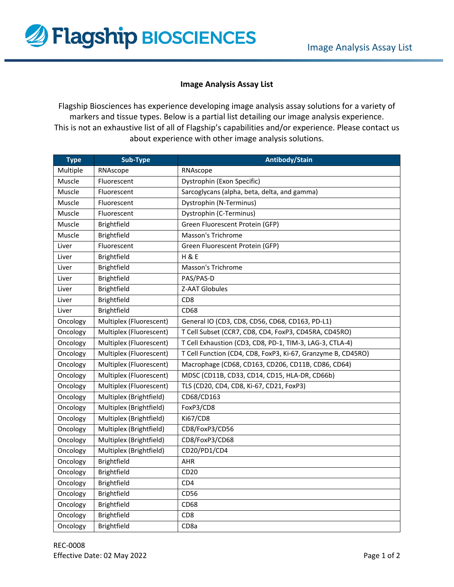

## **Image Analysis Assay List**

Flagship Biosciences has experience developing image analysis assay solutions for a variety of markers and tissue types. Below is a partial list detailing our image analysis experience. This is not an exhaustive list of all of Flagship's capabilities and/or experience. Please contact us about experience with other image analysis solutions.

| <b>Type</b> | Sub-Type                | Antibody/Stain                                               |
|-------------|-------------------------|--------------------------------------------------------------|
| Multiple    | RNAscope                | RNAscope                                                     |
| Muscle      | Fluorescent             | Dystrophin (Exon Specific)                                   |
| Muscle      | Fluorescent             | Sarcoglycans (alpha, beta, delta, and gamma)                 |
| Muscle      | Fluorescent             | Dystrophin (N-Terminus)                                      |
| Muscle      | Fluorescent             | Dystrophin (C-Terminus)                                      |
| Muscle      | Brightfield             | Green Fluorescent Protein (GFP)                              |
| Muscle      | Brightfield             | Masson's Trichrome                                           |
| Liver       | Fluorescent             | Green Fluorescent Protein (GFP)                              |
| Liver       | Brightfield             | <b>H &amp; E</b>                                             |
| Liver       | Brightfield             | <b>Masson's Trichrome</b>                                    |
| Liver       | <b>Brightfield</b>      | PAS/PAS-D                                                    |
| Liver       | Brightfield             | <b>Z-AAT Globules</b>                                        |
| Liver       | Brightfield             | CD <sub>8</sub>                                              |
| Liver       | Brightfield             | CD <sub>68</sub>                                             |
| Oncology    | Multiplex (Fluorescent) | General IO (CD3, CD8, CD56, CD68, CD163, PD-L1)              |
| Oncology    | Multiplex (Fluorescent) | T Cell Subset (CCR7, CD8, CD4, FoxP3, CD45RA, CD45RO)        |
| Oncology    | Multiplex (Fluorescent) | T Cell Exhaustion (CD3, CD8, PD-1, TIM-3, LAG-3, CTLA-4)     |
| Oncology    | Multiplex (Fluorescent) | T Cell Function (CD4, CD8, FoxP3, Ki-67, Granzyme B, CD45RO) |
| Oncology    | Multiplex (Fluorescent) | Macrophage (CD68, CD163, CD206, CD11B, CD86, CD64)           |
| Oncology    | Multiplex (Fluorescent) | MDSC (CD11B, CD33, CD14, CD15, HLA-DR, CD66b)                |
| Oncology    | Multiplex (Fluorescent) | TLS (CD20, CD4, CD8, Ki-67, CD21, FoxP3)                     |
| Oncology    | Multiplex (Brightfield) | CD68/CD163                                                   |
| Oncology    | Multiplex (Brightfield) | FoxP3/CD8                                                    |
| Oncology    | Multiplex (Brightfield) | Ki67/CD8                                                     |
| Oncology    | Multiplex (Brightfield) | CD8/FoxP3/CD56                                               |
| Oncology    | Multiplex (Brightfield) | CD8/FoxP3/CD68                                               |
| Oncology    | Multiplex (Brightfield) | CD20/PD1/CD4                                                 |
| Oncology    | Brightfield             | AHR                                                          |
| Oncology    | Brightfield             | CD20                                                         |
| Oncology    | Brightfield             | CD <sub>4</sub>                                              |
| Oncology    | Brightfield             | CD56                                                         |
| Oncology    | Brightfield             | CD <sub>68</sub>                                             |
| Oncology    | Brightfield             | CD <sub>8</sub>                                              |
| Oncology    | Brightfield             | CD <sub>8a</sub>                                             |